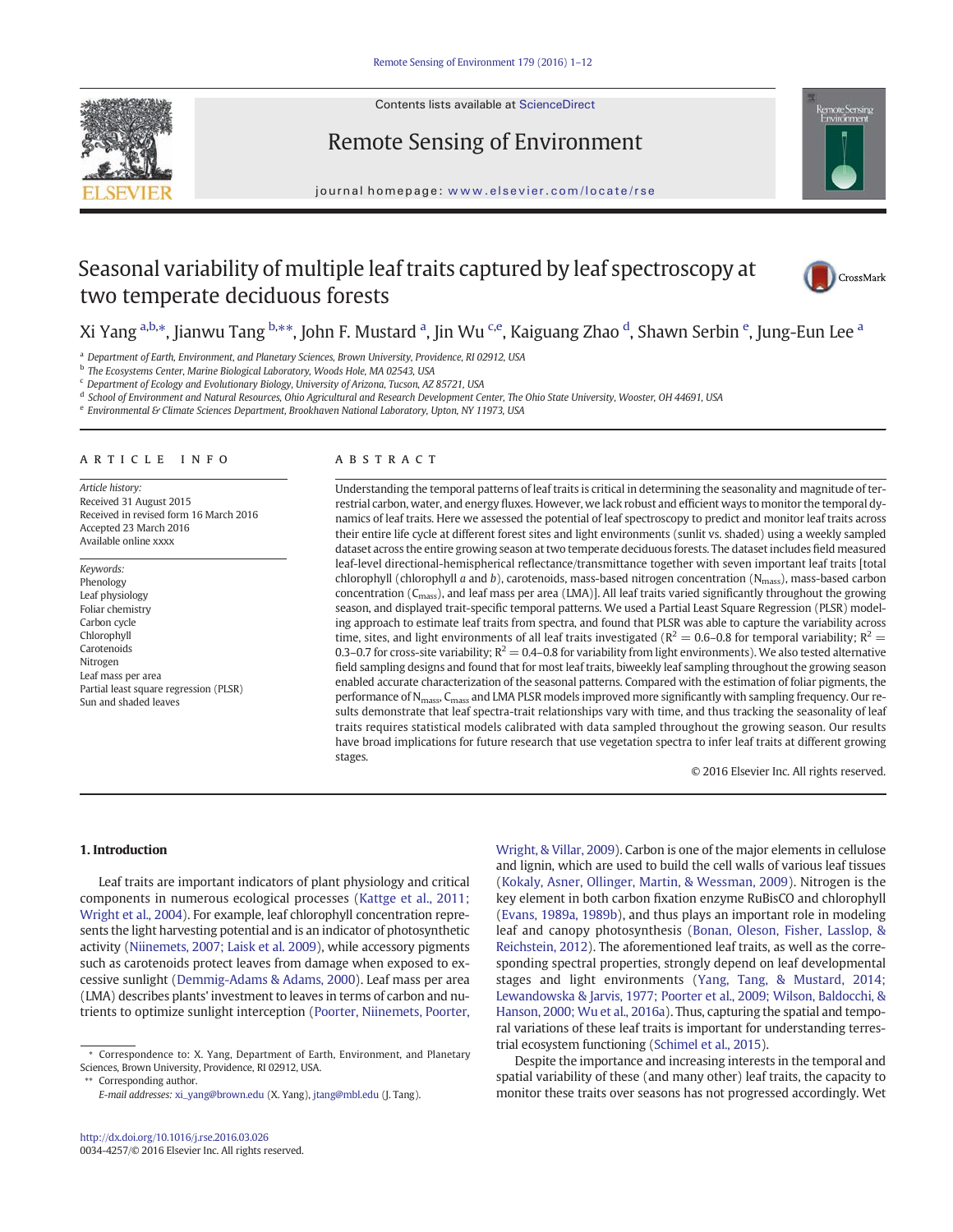

Contents lists available at ScienceDirect

# Remote Sensing of Environment



journal homepage: www.elsevier.com/locate/rse

# Seasonal variability of multiple leaf traits captured by leaf spectroscopy at two temperate deciduous forests



# Xi Yang <sup>a,b,</sup>\*, Jianwu Tang <sup>b,</sup>\*\*, John F. Mustard <sup>a</sup>, Jin Wu <sup>c,e</sup>, Kaiguang Zhao <sup>d</sup>, Shawn Serbin <sup>e</sup>, Jung-Eun Lee <sup>a</sup>

a Department of Earth, Environment, and Planetary Sciences, Brown University, Providence, RI 02912, USA

b The Ecosystems Center, Marine Biological Laboratory, Woods Hole, MA 02543, USA

<sup>c</sup> Department of Ecology and Evolutionary Biology, University of Arizona, Tucson, AZ 85721, USA

<sup>d</sup> School of Environment and Natural Resources, Ohio Agricultural and Research Development Center, The Ohio State University, Wooster, OH 44691, USA

e Environmental & Climate Sciences Department, Brookhaven National Laboratory, Upton, NY 11973, USA

#### article info abstract

Article history: Received 31 August 2015 Received in revised form 16 March 2016 Accepted 23 March 2016 Available online xxxx

Keywords: Phenology Leaf physiology Foliar chemistry Carbon cycle Chlorophyll Carotenoids Nitrogen Leaf mass per area Partial least square regression (PLSR) Sun and shaded leaves

Understanding the temporal patterns of leaf traits is critical in determining the seasonality and magnitude of terrestrial carbon, water, and energy fluxes. However, we lack robust and efficient ways to monitor the temporal dynamics of leaf traits. Here we assessed the potential of leaf spectroscopy to predict and monitor leaf traits across their entire life cycle at different forest sites and light environments (sunlit vs. shaded) using a weekly sampled dataset across the entire growing season at two temperate deciduous forests. The dataset includes field measured leaf-level directional-hemispherical reflectance/transmittance together with seven important leaf traits [total chlorophyll (chlorophyll a and b), carotenoids, mass-based nitrogen concentration ( $N_{\text{mass}}$ ), mass-based carbon concentration (Cmass), and leaf mass per area (LMA)]. All leaf traits varied significantly throughout the growing season, and displayed trait-specific temporal patterns. We used a Partial Least Square Regression (PLSR) modeling approach to estimate leaf traits from spectra, and found that PLSR was able to capture the variability across time, sites, and light environments of all leaf traits investigated ( $R^2 = 0.6$ –0.8 for temporal variability;  $R^2 =$ 0.3–0.7 for cross-site variability;  $R^2 = 0.4$ –0.8 for variability from light environments). We also tested alternative field sampling designs and found that for most leaf traits, biweekly leaf sampling throughout the growing season enabled accurate characterization of the seasonal patterns. Compared with the estimation of foliar pigments, the performance of N<sub>mass</sub>, C<sub>mass</sub> and LMA PLSR models improved more significantly with sampling frequency. Our results demonstrate that leaf spectra-trait relationships vary with time, and thus tracking the seasonality of leaf traits requires statistical models calibrated with data sampled throughout the growing season. Our results have broad implications for future research that use vegetation spectra to infer leaf traits at different growing stages.

© 2016 Elsevier Inc. All rights reserved.

## 1. Introduction

Leaf traits are important indicators of plant physiology and critical components in numerous ecological processes (Kattge et al., 2011; Wright et al., 2004). For example, leaf chlorophyll concentration represents the light harvesting potential and is an indicator of photosynthetic activity (Niinemets, 2007; Laisk et al. 2009), while accessory pigments such as carotenoids protect leaves from damage when exposed to excessive sunlight (Demmig-Adams & Adams, 2000). Leaf mass per area (LMA) describes plants' investment to leaves in terms of carbon and nutrients to optimize sunlight interception (Poorter, Niinemets, Poorter,

⁎⁎ Corresponding author.

Wright, & Villar, 2009). Carbon is one of the major elements in cellulose and lignin, which are used to build the cell walls of various leaf tissues (Kokaly, Asner, Ollinger, Martin, & Wessman, 2009). Nitrogen is the key element in both carbon fixation enzyme RuBisCO and chlorophyll (Evans, 1989a, 1989b), and thus plays an important role in modeling leaf and canopy photosynthesis (Bonan, Oleson, Fisher, Lasslop, & Reichstein, 2012). The aforementioned leaf traits, as well as the corresponding spectral properties, strongly depend on leaf developmental stages and light environments (Yang, Tang, & Mustard, 2014; Lewandowska & Jarvis, 1977; Poorter et al., 2009; Wilson, Baldocchi, & Hanson, 2000; Wu et al., 2016a). Thus, capturing the spatial and temporal variations of these leaf traits is important for understanding terrestrial ecosystem functioning (Schimel et al., 2015).

Despite the importance and increasing interests in the temporal and spatial variability of these (and many other) leaf traits, the capacity to monitor these traits over seasons has not progressed accordingly. Wet

<sup>⁎</sup> Correspondence to: X. Yang, Department of Earth, Environment, and Planetary Sciences, Brown University, Providence, RI 02912, USA.

E-mail addresses: xi\_yang@brown.edu (X. Yang), jtang@mbl.edu (J. Tang).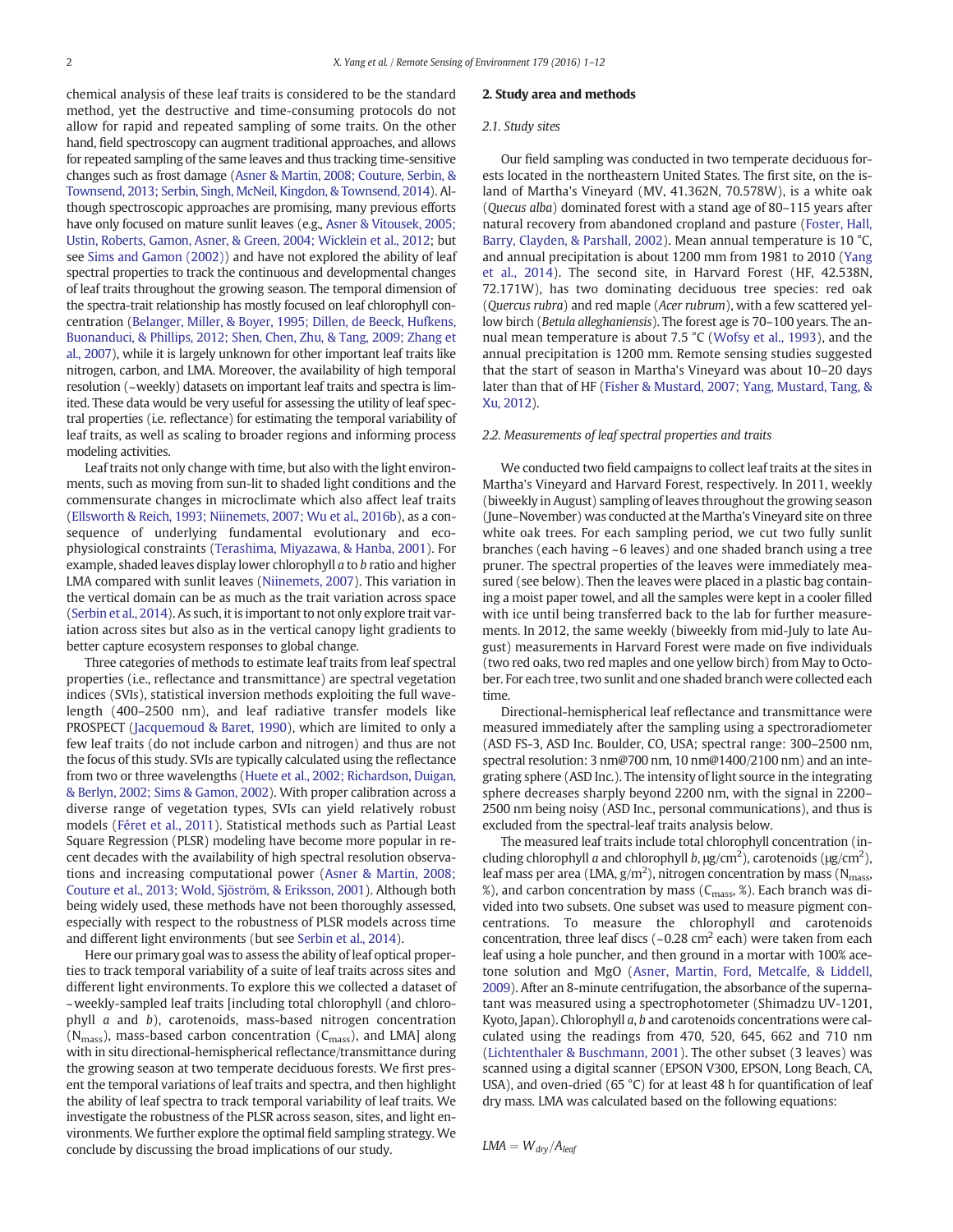chemical analysis of these leaf traits is considered to be the standard method, yet the destructive and time-consuming protocols do not allow for rapid and repeated sampling of some traits. On the other hand, field spectroscopy can augment traditional approaches, and allows for repeated sampling of the same leaves and thus tracking time-sensitive changes such as frost damage (Asner & Martin, 2008; Couture, Serbin, & Townsend, 2013; Serbin, Singh, McNeil, Kingdon, & Townsend, 2014). Although spectroscopic approaches are promising, many previous efforts have only focused on mature sunlit leaves (e.g., Asner & Vitousek, 2005; Ustin, Roberts, Gamon, Asner, & Green, 2004; Wicklein et al., 2012; but see Sims and Gamon (2002)) and have not explored the ability of leaf spectral properties to track the continuous and developmental changes of leaf traits throughout the growing season. The temporal dimension of the spectra-trait relationship has mostly focused on leaf chlorophyll concentration (Belanger, Miller, & Boyer, 1995; Dillen, de Beeck, Hufkens, Buonanduci, & Phillips, 2012; Shen, Chen, Zhu, & Tang, 2009; Zhang et al., 2007), while it is largely unknown for other important leaf traits like nitrogen, carbon, and LMA. Moreover, the availability of high temporal resolution (~weekly) datasets on important leaf traits and spectra is limited. These data would be very useful for assessing the utility of leaf spectral properties (i.e. reflectance) for estimating the temporal variability of leaf traits, as well as scaling to broader regions and informing process modeling activities.

Leaf traits not only change with time, but also with the light environments, such as moving from sun-lit to shaded light conditions and the commensurate changes in microclimate which also affect leaf traits (Ellsworth & Reich, 1993; Niinemets, 2007; Wu et al., 2016b), as a consequence of underlying fundamental evolutionary and ecophysiological constraints (Terashima, Miyazawa, & Hanba, 2001). For example, shaded leaves display lower chlorophyll a to b ratio and higher LMA compared with sunlit leaves (Niinemets, 2007). This variation in the vertical domain can be as much as the trait variation across space (Serbin et al., 2014). As such, it is important to not only explore trait variation across sites but also as in the vertical canopy light gradients to better capture ecosystem responses to global change.

Three categories of methods to estimate leaf traits from leaf spectral properties (i.e., reflectance and transmittance) are spectral vegetation indices (SVIs), statistical inversion methods exploiting the full wavelength (400–2500 nm), and leaf radiative transfer models like PROSPECT (Jacquemoud & Baret, 1990), which are limited to only a few leaf traits (do not include carbon and nitrogen) and thus are not the focus of this study. SVIs are typically calculated using the reflectance from two or three wavelengths (Huete et al., 2002; Richardson, Duigan, & Berlyn, 2002; Sims & Gamon, 2002). With proper calibration across a diverse range of vegetation types, SVIs can yield relatively robust models (Féret et al., 2011). Statistical methods such as Partial Least Square Regression (PLSR) modeling have become more popular in recent decades with the availability of high spectral resolution observations and increasing computational power (Asner & Martin, 2008; Couture et al., 2013; Wold, Sjöström, & Eriksson, 2001). Although both being widely used, these methods have not been thoroughly assessed, especially with respect to the robustness of PLSR models across time and different light environments (but see Serbin et al., 2014).

Here our primary goal was to assess the ability of leaf optical properties to track temporal variability of a suite of leaf traits across sites and different light environments. To explore this we collected a dataset of ~weekly-sampled leaf traits [including total chlorophyll (and chlorophyll a and b), carotenoids, mass-based nitrogen concentration  $(N<sub>mass</sub>)$ , mass-based carbon concentration  $(C<sub>mass</sub>)$ , and LMA] along with in situ directional-hemispherical reflectance/transmittance during the growing season at two temperate deciduous forests. We first present the temporal variations of leaf traits and spectra, and then highlight the ability of leaf spectra to track temporal variability of leaf traits. We investigate the robustness of the PLSR across season, sites, and light environments. We further explore the optimal field sampling strategy. We conclude by discussing the broad implications of our study.

#### 2. Study area and methods

#### 2.1. Study sites

Our field sampling was conducted in two temperate deciduous forests located in the northeastern United States. The first site, on the island of Martha's Vineyard (MV, 41.362N, 70.578W), is a white oak (Quecus alba) dominated forest with a stand age of 80–115 years after natural recovery from abandoned cropland and pasture (Foster, Hall, Barry, Clayden, & Parshall, 2002). Mean annual temperature is 10 °C, and annual precipitation is about 1200 mm from 1981 to 2010 (Yang et al., 2014). The second site, in Harvard Forest (HF, 42.538N, 72.171W), has two dominating deciduous tree species: red oak (Quercus rubra) and red maple (Acer rubrum), with a few scattered yellow birch (Betula alleghaniensis). The forest age is 70–100 years. The annual mean temperature is about 7.5 °C (Wofsy et al., 1993), and the annual precipitation is 1200 mm. Remote sensing studies suggested that the start of season in Martha's Vineyard was about 10–20 days later than that of HF (Fisher & Mustard, 2007; Yang, Mustard, Tang, & Xu, 2012).

#### 2.2. Measurements of leaf spectral properties and traits

We conducted two field campaigns to collect leaf traits at the sites in Martha's Vineyard and Harvard Forest, respectively. In 2011, weekly (biweekly in August) sampling of leaves throughout the growing season (June–November) was conducted at the Martha's Vineyard site on three white oak trees. For each sampling period, we cut two fully sunlit branches (each having ~6 leaves) and one shaded branch using a tree pruner. The spectral properties of the leaves were immediately measured (see below). Then the leaves were placed in a plastic bag containing a moist paper towel, and all the samples were kept in a cooler filled with ice until being transferred back to the lab for further measurements. In 2012, the same weekly (biweekly from mid-July to late August) measurements in Harvard Forest were made on five individuals (two red oaks, two red maples and one yellow birch) from May to October. For each tree, two sunlit and one shaded branch were collected each time.

Directional-hemispherical leaf reflectance and transmittance were measured immediately after the sampling using a spectroradiometer (ASD FS-3, ASD Inc. Boulder, CO, USA; spectral range: 300–2500 nm, spectral resolution: 3 nm@700 nm, 10 nm@1400/2100 nm) and an integrating sphere (ASD Inc.). The intensity of light source in the integrating sphere decreases sharply beyond 2200 nm, with the signal in 2200– 2500 nm being noisy (ASD Inc., personal communications), and thus is excluded from the spectral-leaf traits analysis below.

The measured leaf traits include total chlorophyll concentration (including chlorophyll a and chlorophyll b,  $\mu$ g/cm<sup>2</sup>), carotenoids ( $\mu$ g/cm<sup>2</sup>), leaf mass per area (LMA, g/m<sup>2</sup>), nitrogen concentration by mass (N<sub>mass</sub>, %), and carbon concentration by mass ( $C_{\text{mass}}$ , %). Each branch was divided into two subsets. One subset was used to measure pigment concentrations. To measure the chlorophyll and carotenoids concentration, three leaf discs ( $\sim 0.28$  cm<sup>2</sup> each) were taken from each leaf using a hole puncher, and then ground in a mortar with 100% acetone solution and MgO (Asner, Martin, Ford, Metcalfe, & Liddell, 2009). After an 8-minute centrifugation, the absorbance of the supernatant was measured using a spectrophotometer (Shimadzu UV-1201, Kyoto, Japan). Chlorophyll a, b and carotenoids concentrations were calculated using the readings from 470, 520, 645, 662 and 710 nm (Lichtenthaler & Buschmann, 2001). The other subset (3 leaves) was scanned using a digital scanner (EPSON V300, EPSON, Long Beach, CA, USA), and oven-dried (65 °C) for at least 48 h for quantification of leaf dry mass. LMA was calculated based on the following equations:

 $LMA = W_{dry}/A_{leaf}$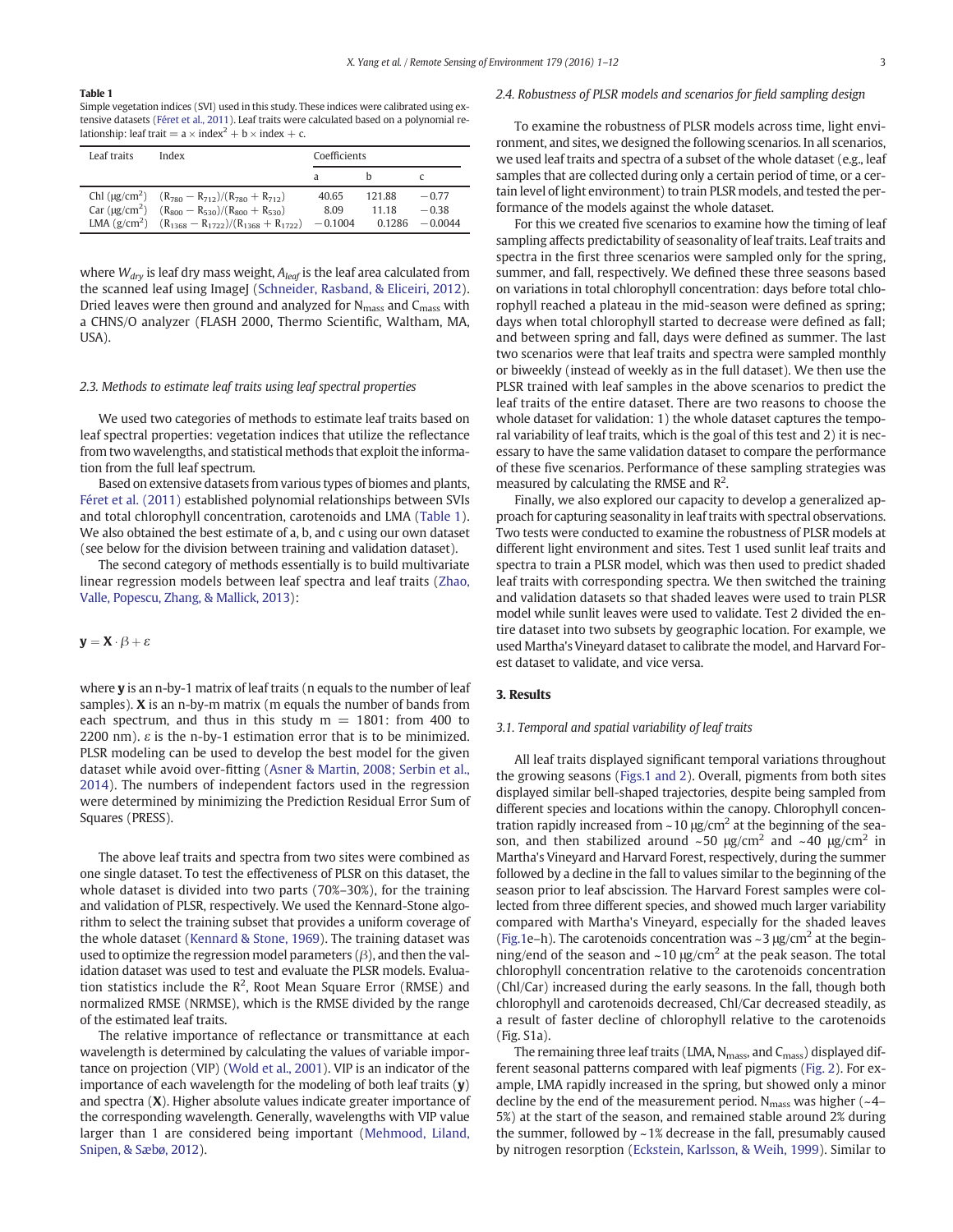#### Table 1

Simple vegetation indices (SVI) used in this study. These indices were calibrated using extensive datasets (Féret et al., 2011). Leaf traits were calculated based on a polynomial relationship: leaf trait =  $a \times index^2 + b \times index + c$ .

| Leaf traits               | Index                                                                                                                                                                                            | Coefficients               |                           |                                 |
|---------------------------|--------------------------------------------------------------------------------------------------------------------------------------------------------------------------------------------------|----------------------------|---------------------------|---------------------------------|
|                           |                                                                                                                                                                                                  |                            |                           |                                 |
| Car (ug/cm <sup>2</sup> ) | Chl ( $\mu$ g/cm <sup>2</sup> ) $(R_{780} - R_{712})/(R_{780} + R_{712})$<br>$(R_{800} - R_{530})/(R_{800} + R_{530})$<br>LMA (g/cm <sup>2</sup> ) $(R_{1368} - R_{1722})/(R_{1368} + R_{1722})$ | 40.65<br>8.09<br>$-0.1004$ | 121.88<br>11 18<br>0.1286 | $-0.77$<br>$-0.38$<br>$-0.0044$ |

where  $W_{dry}$  is leaf dry mass weight,  $A_{leaf}$  is the leaf area calculated from the scanned leaf using ImageJ (Schneider, Rasband, & Eliceiri, 2012). Dried leaves were then ground and analyzed for  $N_{mass}$  and  $C_{mass}$  with a CHNS/O analyzer (FLASH 2000, Thermo Scientific, Waltham, MA, USA).

#### 2.3. Methods to estimate leaf traits using leaf spectral properties

We used two categories of methods to estimate leaf traits based on leaf spectral properties: vegetation indices that utilize the reflectance from two wavelengths, and statistical methods that exploit the information from the full leaf spectrum.

Based on extensive datasets from various types of biomes and plants, Féret et al. (2011) established polynomial relationships between SVIs and total chlorophyll concentration, carotenoids and LMA (Table 1). We also obtained the best estimate of a, b, and c using our own dataset (see below for the division between training and validation dataset).

The second category of methods essentially is to build multivariate linear regression models between leaf spectra and leaf traits (Zhao, Valle, Popescu, Zhang, & Mallick, 2013):

#### $y = X \cdot \beta + \varepsilon$

where **y** is an n-by-1 matrix of leaf traits (n equals to the number of leaf samples). X is an n-by-m matrix (m equals the number of bands from each spectrum, and thus in this study  $m = 1801$ : from 400 to 2200 nm).  $\varepsilon$  is the n-by-1 estimation error that is to be minimized. PLSR modeling can be used to develop the best model for the given dataset while avoid over-fitting (Asner & Martin, 2008; Serbin et al., 2014). The numbers of independent factors used in the regression were determined by minimizing the Prediction Residual Error Sum of Squares (PRESS).

The above leaf traits and spectra from two sites were combined as one single dataset. To test the effectiveness of PLSR on this dataset, the whole dataset is divided into two parts (70%–30%), for the training and validation of PLSR, respectively. We used the Kennard-Stone algorithm to select the training subset that provides a uniform coverage of the whole dataset (Kennard & Stone, 1969). The training dataset was used to optimize the regression model parameters  $(\beta)$ , and then the validation dataset was used to test and evaluate the PLSR models. Evaluation statistics include the  $R^2$ , Root Mean Square Error (RMSE) and normalized RMSE (NRMSE), which is the RMSE divided by the range of the estimated leaf traits.

The relative importance of reflectance or transmittance at each wavelength is determined by calculating the values of variable importance on projection (VIP) (Wold et al., 2001). VIP is an indicator of the importance of each wavelength for the modeling of both leaf traits  $(y)$ and spectra  $(X)$ . Higher absolute values indicate greater importance of the corresponding wavelength. Generally, wavelengths with VIP value larger than 1 are considered being important (Mehmood, Liland, Snipen, & Sæbø, 2012).

### 2.4. Robustness of PLSR models and scenarios for field sampling design

To examine the robustness of PLSR models across time, light environment, and sites, we designed the following scenarios. In all scenarios, we used leaf traits and spectra of a subset of the whole dataset (e.g., leaf samples that are collected during only a certain period of time, or a certain level of light environment) to train PLSR models, and tested the performance of the models against the whole dataset.

For this we created five scenarios to examine how the timing of leaf sampling affects predictability of seasonality of leaf traits. Leaf traits and spectra in the first three scenarios were sampled only for the spring, summer, and fall, respectively. We defined these three seasons based on variations in total chlorophyll concentration: days before total chlorophyll reached a plateau in the mid-season were defined as spring; days when total chlorophyll started to decrease were defined as fall; and between spring and fall, days were defined as summer. The last two scenarios were that leaf traits and spectra were sampled monthly or biweekly (instead of weekly as in the full dataset). We then use the PLSR trained with leaf samples in the above scenarios to predict the leaf traits of the entire dataset. There are two reasons to choose the whole dataset for validation: 1) the whole dataset captures the temporal variability of leaf traits, which is the goal of this test and 2) it is necessary to have the same validation dataset to compare the performance of these five scenarios. Performance of these sampling strategies was measured by calculating the RMSE and  $\mathbb{R}^2$ .

Finally, we also explored our capacity to develop a generalized approach for capturing seasonality in leaf traits with spectral observations. Two tests were conducted to examine the robustness of PLSR models at different light environment and sites. Test 1 used sunlit leaf traits and spectra to train a PLSR model, which was then used to predict shaded leaf traits with corresponding spectra. We then switched the training and validation datasets so that shaded leaves were used to train PLSR model while sunlit leaves were used to validate. Test 2 divided the entire dataset into two subsets by geographic location. For example, we used Martha's Vineyard dataset to calibrate the model, and Harvard Forest dataset to validate, and vice versa.

#### 3. Results

### 3.1. Temporal and spatial variability of leaf traits

All leaf traits displayed significant temporal variations throughout the growing seasons (Figs.1 and 2). Overall, pigments from both sites displayed similar bell-shaped trajectories, despite being sampled from different species and locations within the canopy. Chlorophyll concentration rapidly increased from  $\sim$  10  $\mu$ g/cm<sup>2</sup> at the beginning of the season, and then stabilized around  $\sim$  50 μg/cm<sup>2</sup> and  $\sim$  40 μg/cm<sup>2</sup> in Martha's Vineyard and Harvard Forest, respectively, during the summer followed by a decline in the fall to values similar to the beginning of the season prior to leaf abscission. The Harvard Forest samples were collected from three different species, and showed much larger variability compared with Martha's Vineyard, especially for the shaded leaves (Fig.1e–h). The carotenoids concentration was  $\sim$  3  $\mu$ g/cm<sup>2</sup> at the beginning/end of the season and  $\sim$  10  $\mu$ g/cm<sup>2</sup> at the peak season. The total chlorophyll concentration relative to the carotenoids concentration (Chl/Car) increased during the early seasons. In the fall, though both chlorophyll and carotenoids decreased, Chl/Car decreased steadily, as a result of faster decline of chlorophyll relative to the carotenoids (Fig. S1a).

The remaining three leaf traits (LMA, N<sub>mass</sub>, and C<sub>mass</sub>) displayed different seasonal patterns compared with leaf pigments (Fig. 2). For example, LMA rapidly increased in the spring, but showed only a minor decline by the end of the measurement period.  $N_{mass}$  was higher ( $\sim$ 4– 5%) at the start of the season, and remained stable around 2% during the summer, followed by ~1% decrease in the fall, presumably caused by nitrogen resorption (Eckstein, Karlsson, & Weih, 1999). Similar to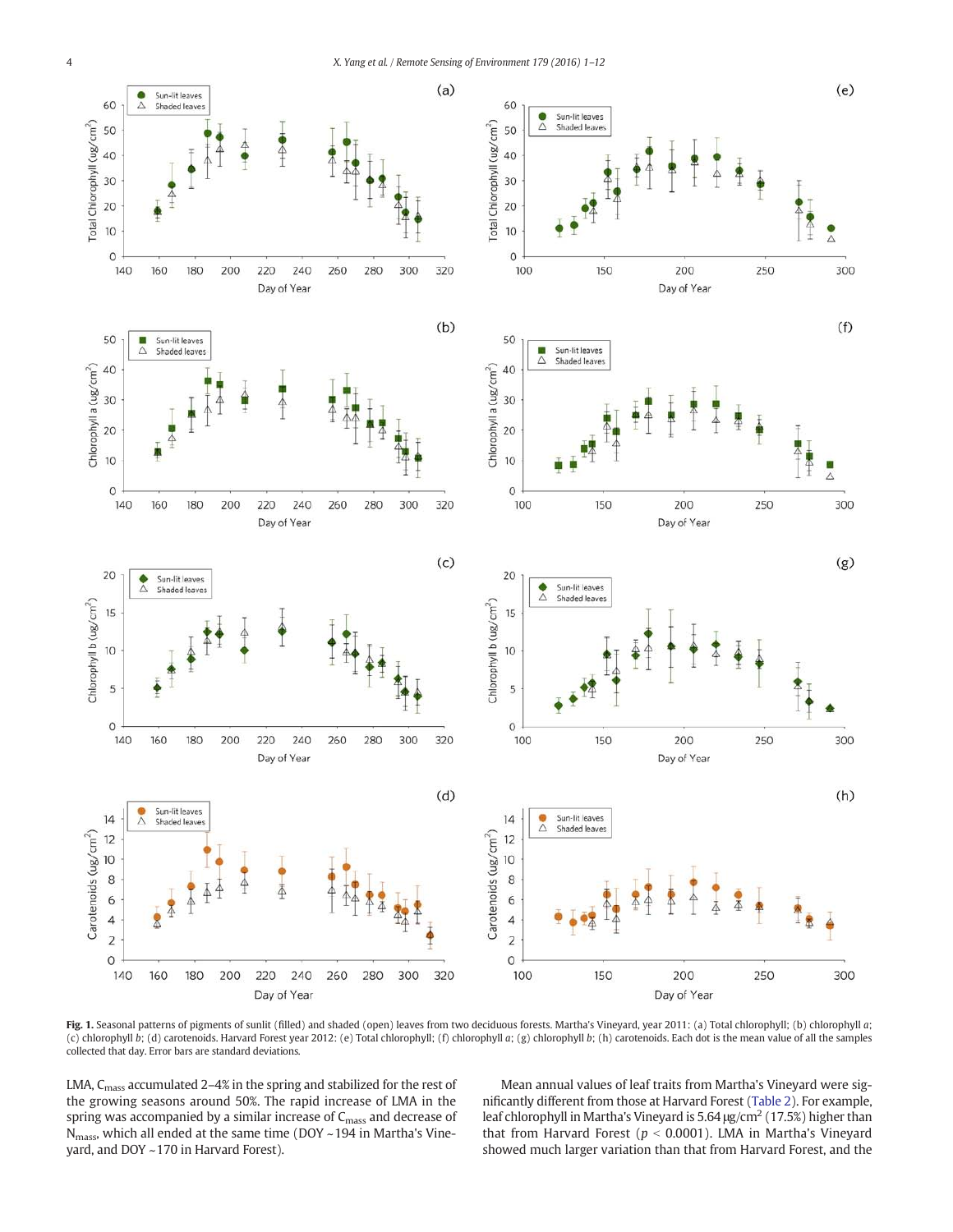

Fig. 1. Seasonal patterns of pigments of sunlit (filled) and shaded (open) leaves from two deciduous forests. Martha's Vineyard, year 2011: (a) Total chlorophyll; (b) chlorophyll a; (c) chlorophyll b; (d) carotenoids. Harvard Forest year 2012: (e) Total chlorophyll; (f) chlorophyll a; (g) chlorophyll b; (h) carotenoids. Each dot is the mean value of all the samples collected that day. Error bars are standard deviations.

LMA, C<sub>mass</sub> accumulated 2-4% in the spring and stabilized for the rest of the growing seasons around 50%. The rapid increase of LMA in the spring was accompanied by a similar increase of  $C_{\text{mass}}$  and decrease of  $N<sub>mass</sub>$ , which all ended at the same time (DOY ~194 in Martha's Vineyard, and DOY ~170 in Harvard Forest).

Mean annual values of leaf traits from Martha's Vineyard were significantly different from those at Harvard Forest (Table 2). For example, leaf chlorophyll in Martha's Vineyard is 5.64  $\mu$ g/cm<sup>2</sup> (17.5%) higher than that from Harvard Forest ( $p < 0.0001$ ). LMA in Martha's Vineyard showed much larger variation than that from Harvard Forest, and the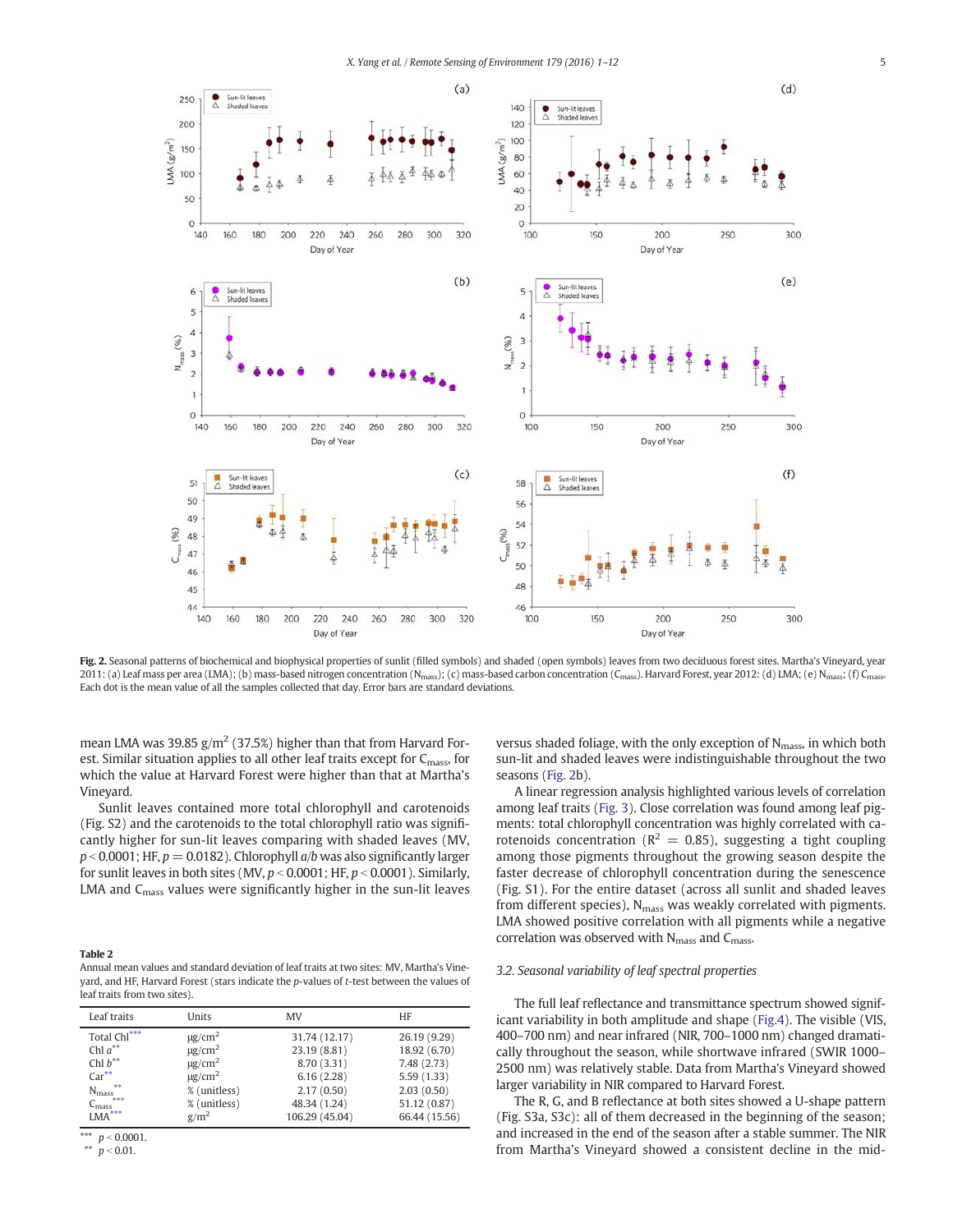

Fig. 2. Seasonal patterns of biochemical and biophysical properties of sunlit (filled symbols) and shaded (open symbols) leaves from two deciduous forest sites. Martha's Vineyard, year 2011: (a) Leaf mass per area (LMA); (b) mass-based nitrogen concentration (N<sub>mass</sub>); (c) mass-based carbon concentration (C<sub>mass</sub>). Harvard Forest, year 2012: (d) LMA; (e) N<sub>mass</sub>; (f) C<sub>mass</sub>. Each dot is the mean value of all the samples collected that day. Error bars are standard deviations.

mean LMA was 39.85  $g/m^2$  (37.5%) higher than that from Harvard Forest. Similar situation applies to all other leaf traits except for  $C<sub>mass</sub>$  for which the value at Harvard Forest were higher than that at Martha's Vineyard.

Sunlit leaves contained more total chlorophyll and carotenoids (Fig. S2) and the carotenoids to the total chlorophyll ratio was significantly higher for sun-lit leaves comparing with shaded leaves (MV,  $p < 0.0001$ ; HF,  $p = 0.0182$ ). Chlorophyll  $a/b$  was also significantly larger for sunlit leaves in both sites (MV,  $p < 0.0001$ ; HF,  $p < 0.0001$ ). Similarly, LMA and  $C_{\text{mass}}$  values were significantly higher in the sun-lit leaves

### Table 2

Annual mean values and standard deviation of leaf traits at two sites: MV, Martha's Vineyard, and HF, Harvard Forest (stars indicate the p-values of t-test between the values of leaf traits from two sites).

| Leaf traits           | Units                   | MV             | HF            |
|-----------------------|-------------------------|----------------|---------------|
| Total Chl***          | $\mu$ g/cm <sup>2</sup> | 31.74 (12.17)  | 26.19 (9.29)  |
| Chl $a^{**}$          | $\mu$ g/cm <sup>2</sup> | 23.19 (8.81)   | 18.92 (6.70)  |
| Chl $b^{**}$          | $\mu$ g/cm <sup>2</sup> | 8.70 (3.31)    | 7.48 (2.73)   |
| $Car**$               | $\mu$ g/cm <sup>2</sup> | 6.16(2.28)     | 5.59(1.33)    |
| $N_{mass}$ **         | % (unitless)            | 2.17(0.50)     | 2.03(0.50)    |
| $C_{\text{mass}}$ *** | % (unitless)            | 48.34 (1.24)   | 51.12 (0.87)  |
| $LMA***$              | g/m <sup>2</sup>        | 106.29 (45.04) | 66.44 (15.56) |

\*\*\*  $p < 0.0001$ . \*\*  $p < 0.01$ .

versus shaded foliage, with the only exception of N<sub>mass</sub>, in which both sun-lit and shaded leaves were indistinguishable throughout the two seasons (Fig. 2b).

A linear regression analysis highlighted various levels of correlation among leaf traits (Fig. 3). Close correlation was found among leaf pigments: total chlorophyll concentration was highly correlated with carotenoids concentration ( $R^2 = 0.85$ ), suggesting a tight coupling among those pigments throughout the growing season despite the faster decrease of chlorophyll concentration during the senescence (Fig. S1). For the entire dataset (across all sunlit and shaded leaves from different species),  $N_{\text{mass}}$  was weakly correlated with pigments. LMA showed positive correlation with all pigments while a negative correlation was observed with N<sub>mass</sub> and C<sub>mass</sub>.

## 3.2. Seasonal variability of leaf spectral properties

The full leaf reflectance and transmittance spectrum showed significant variability in both amplitude and shape (Fig.4). The visible (VIS, 400–700 nm) and near infrared (NIR, 700–1000 nm) changed dramatically throughout the season, while shortwave infrared (SWIR 1000– 2500 nm) was relatively stable. Data from Martha's Vineyard showed larger variability in NIR compared to Harvard Forest.

The R, G, and B reflectance at both sites showed a U-shape pattern (Fig. S3a, S3c): all of them decreased in the beginning of the season; and increased in the end of the season after a stable summer. The NIR from Martha's Vineyard showed a consistent decline in the mid-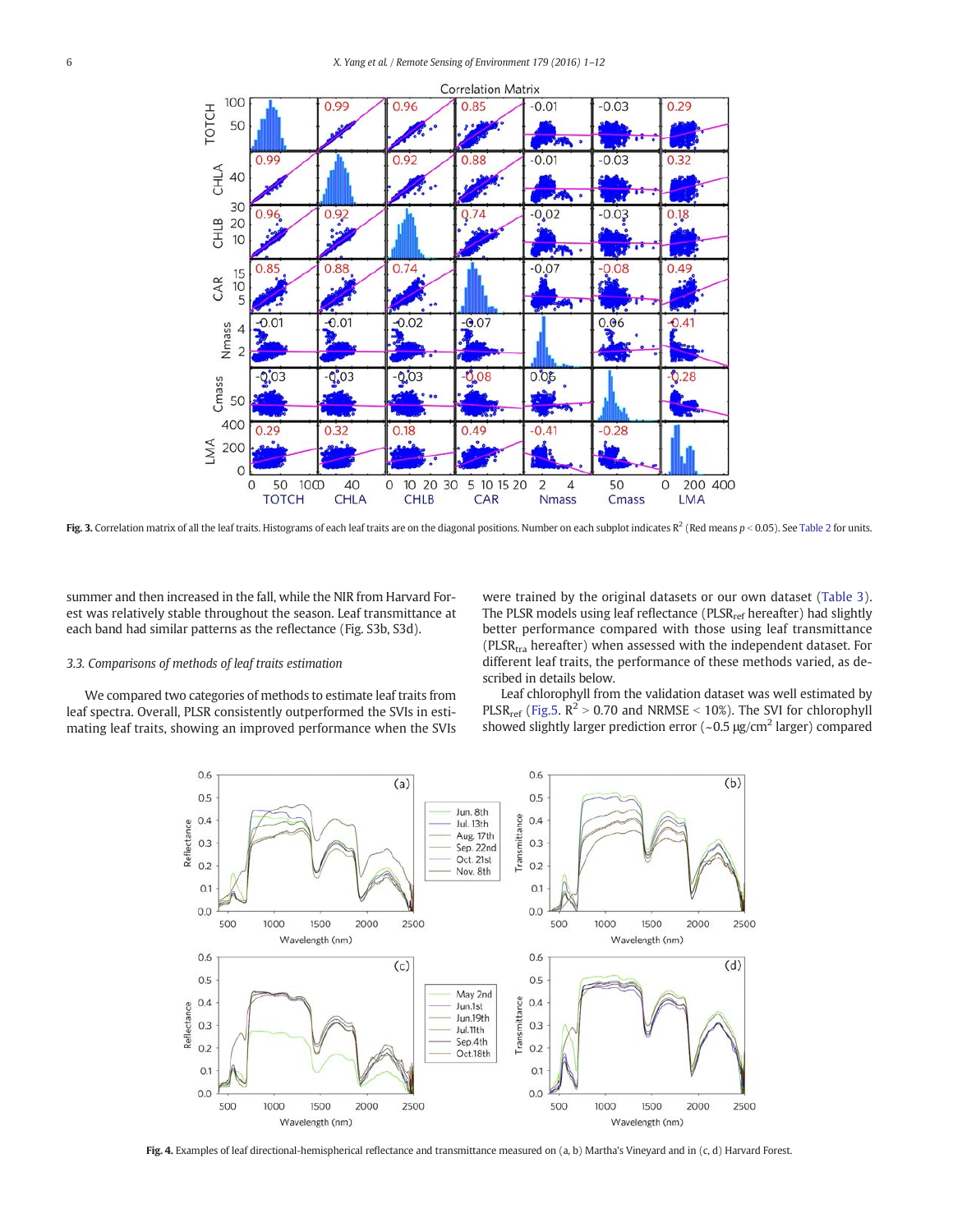

Fig. 3. Correlation matrix of all the leaf traits. Histograms of each leaf traits are on the diagonal positions. Number on each subplot indicates  $R^2$  (Red means  $p < 0.05$ ). See Table 2 for units.

summer and then increased in the fall, while the NIR from Harvard Forest was relatively stable throughout the season. Leaf transmittance at each band had similar patterns as the reflectance (Fig. S3b, S3d).

## 3.3. Comparisons of methods of leaf traits estimation

We compared two categories of methods to estimate leaf traits from leaf spectra. Overall, PLSR consistently outperformed the SVIs in estimating leaf traits, showing an improved performance when the SVIs were trained by the original datasets or our own dataset (Table 3). The PLSR models using leaf reflectance (PLSRref hereafter) had slightly better performance compared with those using leaf transmittance ( $PLSR<sub>tra</sub>$  hereafter) when assessed with the independent dataset. For different leaf traits, the performance of these methods varied, as described in details below.

Leaf chlorophyll from the validation dataset was well estimated by PLSR<sub>ref</sub> (Fig.5.  $R^2 > 0.70$  and NRMSE < 10%). The SVI for chlorophyll showed slightly larger prediction error  $(-0.5 \mu g/cm^2$  larger) compared



Fig. 4. Examples of leaf directional-hemispherical reflectance and transmittance measured on (a, b) Martha's Vineyard and in (c, d) Harvard Forest.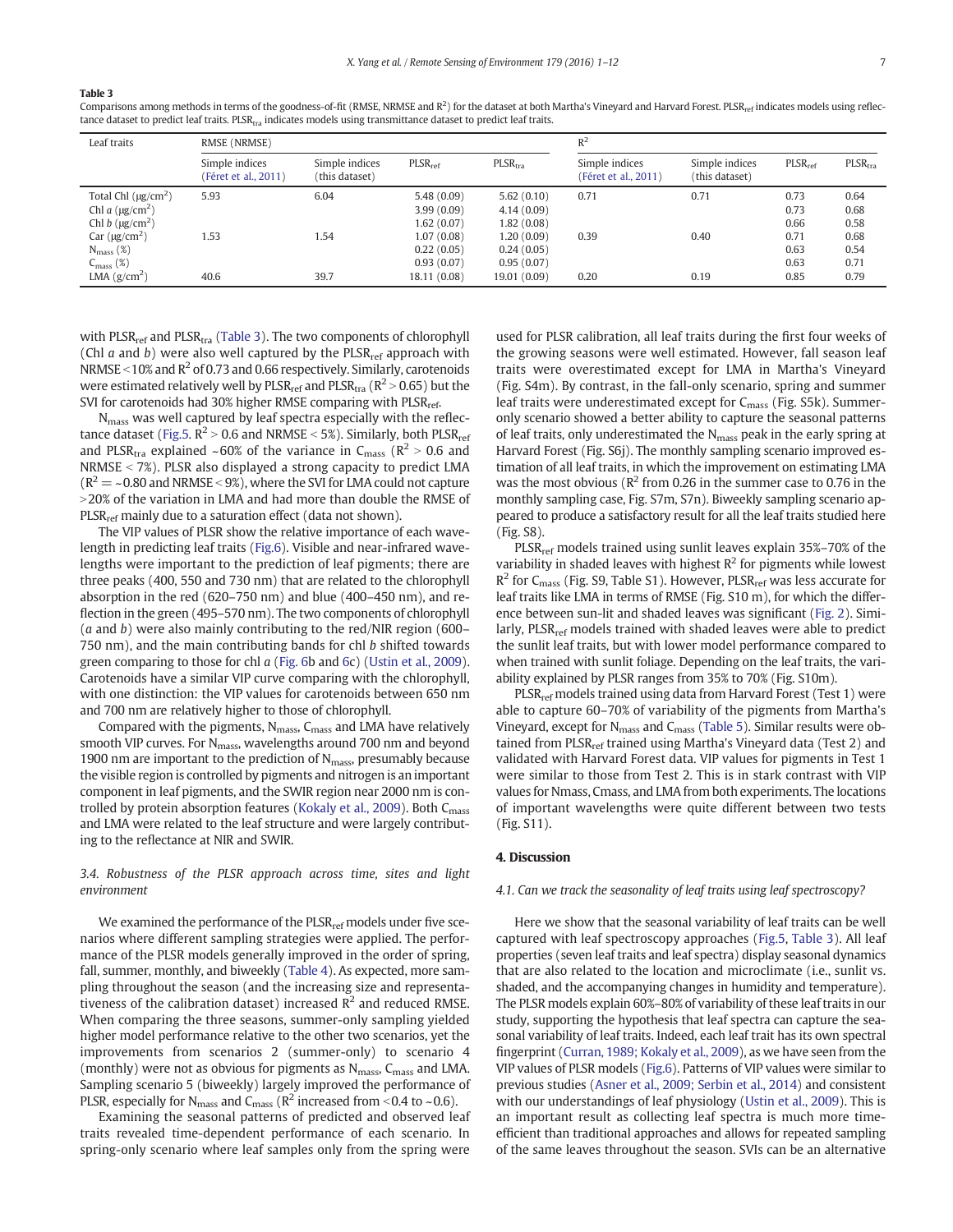#### Table 3

Comparisons among methods in terms of the goodness-of-fit (RMSE, NRMSE and  $R^2$ ) for the dataset at both Martha's Vineyard and Harvard Forest. PLSR<sub>ref</sub> indicates models using reflectance dataset to predict leaf traits.  $PLSR_{tra}$  indicates models using transmittance dataset to predict leaf traits.

| Leaf traits                                                                                    | RMSE (NRMSE)                           |                                  |                                                      | $R^2$                                                |                                        |                                  |                              |                              |
|------------------------------------------------------------------------------------------------|----------------------------------------|----------------------------------|------------------------------------------------------|------------------------------------------------------|----------------------------------------|----------------------------------|------------------------------|------------------------------|
|                                                                                                | Simple indices<br>(Féret et al., 2011) | Simple indices<br>(this dataset) | PLSR <sub>ref</sub>                                  | PLSR <sub>tra</sub>                                  | Simple indices<br>(Féret et al., 2011) | Simple indices<br>(this dataset) | PLSR <sub>ref</sub>          | $PLSR$ <sub>tra</sub>        |
| Total Chl $(\mu g/cm^2)$<br>Chl a $(\mu g/cm^2)$<br>Chl b $(\mu g/cm^2)$<br>Car $(\mu g/cm^2)$ | 5.93<br>1.53                           | 6.04<br>1.54                     | 5.48(0.09)<br>3.99(0.09)<br>1.62(0.07)<br>1.07(0.08) | 5.62(0.10)<br>4.14(0.09)<br>1.82(0.08)<br>1.20(0.09) | 0.71<br>0.39                           | 0.71<br>0.40                     | 0.73<br>0.73<br>0.66<br>0.71 | 0.64<br>0.68<br>0.58<br>0.68 |
| $N_{mass}$ (%)<br>$C_{\text{mass}}(\%)$<br>LMA $(g/cm^2)$                                      | 40.6                                   | 39.7                             | 0.22(0.05)<br>0.93(0.07)<br>18.11 (0.08)             | 0.24(0.05)<br>0.95(0.07)<br>19.01 (0.09)             | 0.20                                   | 0.19                             | 0.63<br>0.63<br>0.85         | 0.54<br>0.71<br>0.79         |

with PLSR<sub>ref</sub> and PLSR<sub>tra</sub> (Table 3). The two components of chlorophyll (Chl  $a$  and  $b$ ) were also well captured by the PLSR<sub>ref</sub> approach with NRMSE <  $10\%$  and R<sup>2</sup> of 0.73 and 0.66 respectively. Similarly, carotenoids were estimated relatively well by  $PLSR_{ref}$  and  $PLSR_{tra}$  ( $R^2 > 0.65$ ) but the SVI for carotenoids had 30% higher RMSE comparing with PLSR<sub>ref</sub>.

Nmass was well captured by leaf spectra especially with the reflectance dataset (Fig.5.  $R^2 > 0.6$  and NRMSE < 5%). Similarly, both PLSR<sub>ref</sub> and PLSR<sub>tra</sub> explained ~60% of the variance in C<sub>mass</sub> ( $R^2 > 0.6$  and NRMSE  $<$  7%). PLSR also displayed a strong capacity to predict LMA  $(R^2 = -0.80$  and NRMSE < 9%), where the SVI for LMA could not capture  $>$  20% of the variation in LMA and had more than double the RMSE of  $PLSR<sub>ref</sub>$  mainly due to a saturation effect (data not shown).

The VIP values of PLSR show the relative importance of each wavelength in predicting leaf traits (Fig.6). Visible and near-infrared wavelengths were important to the prediction of leaf pigments; there are three peaks (400, 550 and 730 nm) that are related to the chlorophyll absorption in the red (620–750 nm) and blue (400–450 nm), and reflection in the green (495–570 nm). The two components of chlorophyll  $(a$  and b) were also mainly contributing to the red/NIR region (600– 750 nm), and the main contributing bands for chl b shifted towards green comparing to those for chl a (Fig. 6b and 6c) (Ustin et al., 2009). Carotenoids have a similar VIP curve comparing with the chlorophyll, with one distinction: the VIP values for carotenoids between 650 nm and 700 nm are relatively higher to those of chlorophyll.

Compared with the pigments,  $N_{mass}$ ,  $C_{mass}$  and LMA have relatively smooth VIP curves. For N<sub>mass</sub>, wavelengths around 700 nm and beyond 1900 nm are important to the prediction of  $N<sub>mass</sub>$ , presumably because the visible region is controlled by pigments and nitrogen is an important component in leaf pigments, and the SWIR region near 2000 nm is controlled by protein absorption features (Kokaly et al., 2009). Both C<sub>mass</sub> and LMA were related to the leaf structure and were largely contributing to the reflectance at NIR and SWIR.

# 3.4. Robustness of the PLSR approach across time, sites and light environment

We examined the performance of the  $PLSR_{ref}$  models under five scenarios where different sampling strategies were applied. The performance of the PLSR models generally improved in the order of spring, fall, summer, monthly, and biweekly (Table 4). As expected, more sampling throughout the season (and the increasing size and representativeness of the calibration dataset) increased  $\mathbb{R}^2$  and reduced RMSE. When comparing the three seasons, summer-only sampling yielded higher model performance relative to the other two scenarios, yet the improvements from scenarios 2 (summer-only) to scenario 4 (monthly) were not as obvious for pigments as  $N_{\rm mass}$ ,  $C_{\rm mass}$  and LMA. Sampling scenario 5 (biweekly) largely improved the performance of PLSR, especially for  $N_{mass}$  and  $C_{mass}$  ( $R^2$  increased from <0.4 to ~0.6).

Examining the seasonal patterns of predicted and observed leaf traits revealed time-dependent performance of each scenario. In spring-only scenario where leaf samples only from the spring were

used for PLSR calibration, all leaf traits during the first four weeks of the growing seasons were well estimated. However, fall season leaf traits were overestimated except for LMA in Martha's Vineyard (Fig. S4m). By contrast, in the fall-only scenario, spring and summer leaf traits were underestimated except for C<sub>mass</sub> (Fig. S5k). Summeronly scenario showed a better ability to capture the seasonal patterns of leaf traits, only underestimated the N<sub>mass</sub> peak in the early spring at Harvard Forest (Fig. S6j). The monthly sampling scenario improved estimation of all leaf traits, in which the improvement on estimating LMA was the most obvious ( $\mathbb{R}^2$  from 0.26 in the summer case to 0.76 in the monthly sampling case, Fig. S7m, S7n). Biweekly sampling scenario appeared to produce a satisfactory result for all the leaf traits studied here (Fig. S8).

PLSR<sub>ref</sub> models trained using sunlit leaves explain 35%-70% of the variability in shaded leaves with highest  $R^2$  for pigments while lowest  $R^2$  for C<sub>mass</sub> (Fig. S9, Table S1). However, PLSR<sub>ref</sub> was less accurate for leaf traits like LMA in terms of RMSE (Fig. S10 m), for which the difference between sun-lit and shaded leaves was significant (Fig. 2). Similarly, PLSR<sub>ref</sub> models trained with shaded leaves were able to predict the sunlit leaf traits, but with lower model performance compared to when trained with sunlit foliage. Depending on the leaf traits, the variability explained by PLSR ranges from 35% to 70% (Fig. S10m).

PLSR<sub>ref</sub> models trained using data from Harvard Forest (Test 1) were able to capture 60–70% of variability of the pigments from Martha's Vineyard, except for N<sub>mass</sub> and C<sub>mass</sub> (Table 5). Similar results were obtained from PLSR<sub>ref</sub> trained using Martha's Vineyard data (Test 2) and validated with Harvard Forest data. VIP values for pigments in Test 1 were similar to those from Test 2. This is in stark contrast with VIP values for Nmass, Cmass, and LMA from both experiments. The locations of important wavelengths were quite different between two tests (Fig. S11).

#### 4. Discussion

#### 4.1. Can we track the seasonality of leaf traits using leaf spectroscopy?

Here we show that the seasonal variability of leaf traits can be well captured with leaf spectroscopy approaches (Fig.5, Table 3). All leaf properties (seven leaf traits and leaf spectra) display seasonal dynamics that are also related to the location and microclimate (i.e., sunlit vs. shaded, and the accompanying changes in humidity and temperature). The PLSR models explain 60%–80% of variability of these leaf traits in our study, supporting the hypothesis that leaf spectra can capture the seasonal variability of leaf traits. Indeed, each leaf trait has its own spectral fingerprint (Curran, 1989; Kokaly et al., 2009), as we have seen from the VIP values of PLSR models (Fig.6). Patterns of VIP values were similar to previous studies (Asner et al., 2009; Serbin et al., 2014) and consistent with our understandings of leaf physiology (Ustin et al., 2009). This is an important result as collecting leaf spectra is much more timeefficient than traditional approaches and allows for repeated sampling of the same leaves throughout the season. SVIs can be an alternative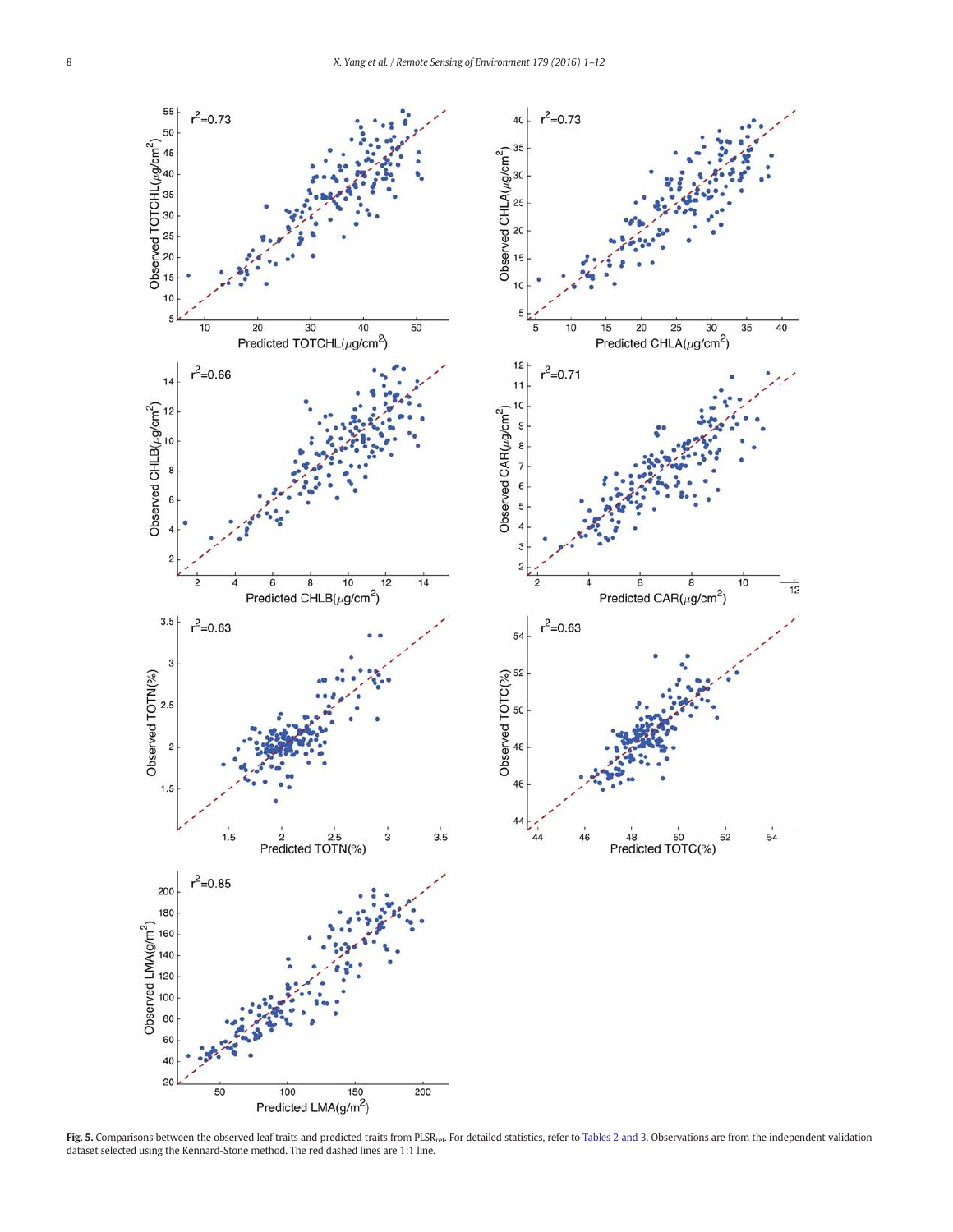$\overline{20}$ 

Predicted CAR( $\mu$ g/cm<sup>2</sup>)

48 50<br>Predicted TOTC(%)

Predicted CHLA( $\mu$ g/cm<sup>2</sup>)



**Fig. 5.** Comparisons between the observed leaf traits and predicted traits from PLSR<sub>ref</sub>. For detailed statistics, refer to Tables 2 and 3. Observations are from the independent validation<br>dataset selected using the Kenn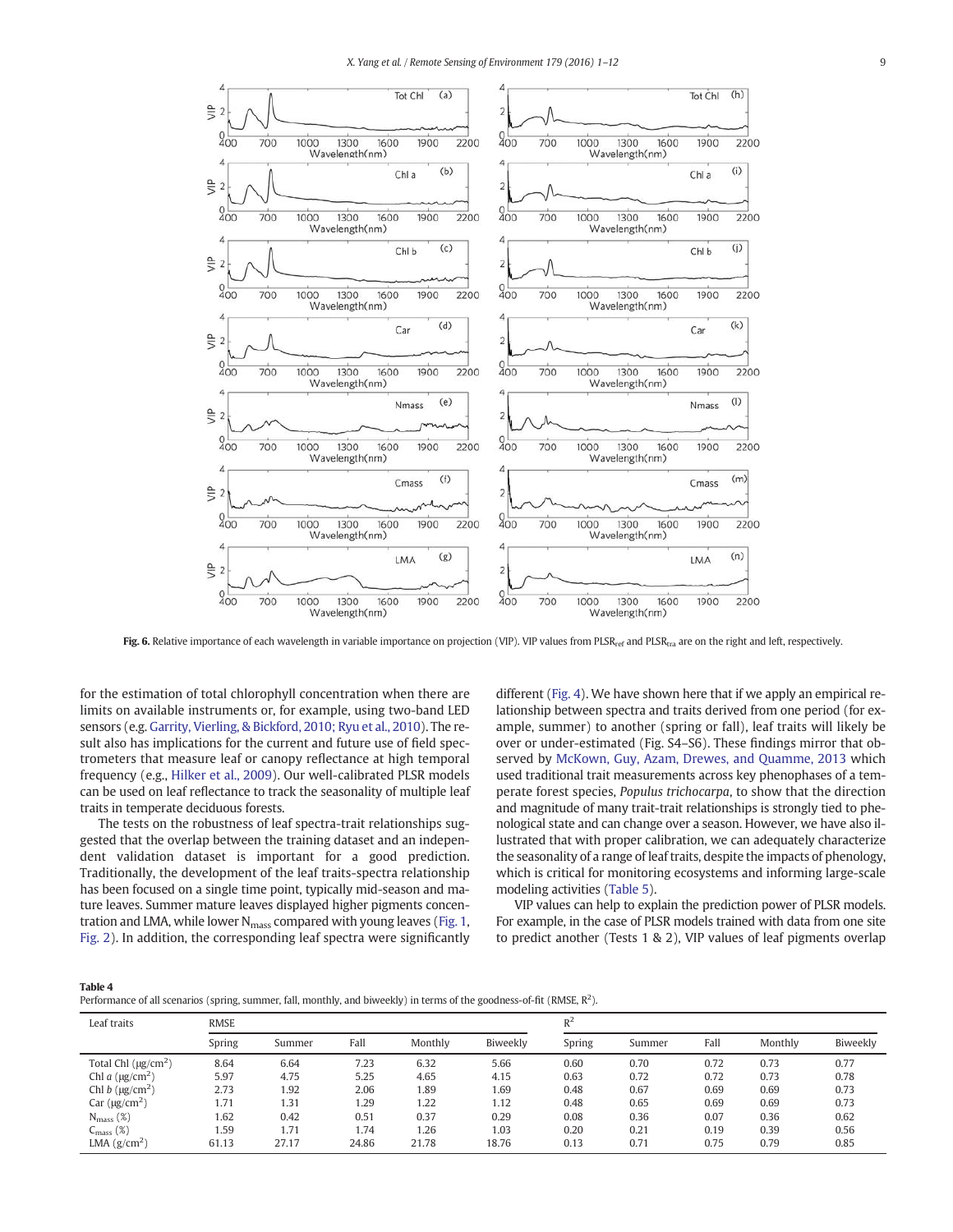

Fig. 6. Relative importance of each wavelength in variable importance on projection (VIP). VIP values from PLSR<sub>tref</sub> and PLSR<sub>tra</sub> are on the right and left, respectively.

for the estimation of total chlorophyll concentration when there are limits on available instruments or, for example, using two-band LED sensors (e.g. Garrity, Vierling, & Bickford, 2010; Ryu et al., 2010). The result also has implications for the current and future use of field spectrometers that measure leaf or canopy reflectance at high temporal frequency (e.g., Hilker et al., 2009). Our well-calibrated PLSR models can be used on leaf reflectance to track the seasonality of multiple leaf traits in temperate deciduous forests.

The tests on the robustness of leaf spectra-trait relationships suggested that the overlap between the training dataset and an independent validation dataset is important for a good prediction. Traditionally, the development of the leaf traits-spectra relationship has been focused on a single time point, typically mid-season and mature leaves. Summer mature leaves displayed higher pigments concentration and LMA, while lower N<sub>mass</sub> compared with young leaves (Fig. 1, Fig. 2). In addition, the corresponding leaf spectra were significantly different (Fig. 4). We have shown here that if we apply an empirical relationship between spectra and traits derived from one period (for example, summer) to another (spring or fall), leaf traits will likely be over or under-estimated (Fig. S4–S6). These findings mirror that observed by McKown, Guy, Azam, Drewes, and Quamme, 2013 which used traditional trait measurements across key phenophases of a temperate forest species, Populus trichocarpa, to show that the direction and magnitude of many trait-trait relationships is strongly tied to phenological state and can change over a season. However, we have also illustrated that with proper calibration, we can adequately characterize the seasonality of a range of leaf traits, despite the impacts of phenology, which is critical for monitoring ecosystems and informing large-scale modeling activities (Table 5).

VIP values can help to explain the prediction power of PLSR models. For example, in the case of PLSR models trained with data from one site to predict another (Tests 1 & 2), VIP values of leaf pigments overlap

Table 4

Performance of all scenarios (spring, summer, fall, monthly, and biweekly) in terms of the goodness-of-fit (RMSE, R<sup>2</sup>).

| Leaf traits                         | <b>RMSE</b> |        |       |         |          | $R^2$  |        |      |         |          |
|-------------------------------------|-------------|--------|-------|---------|----------|--------|--------|------|---------|----------|
|                                     | Spring      | Summer | Fall  | Monthly | Biweekly | Spring | Summer | Fall | Monthly | Biweekly |
| Total Chl $(\mu g/cm^2)$            | 8.64        | 6.64   | 7.23  | 6.32    | 5.66     | 0.60   | 0.70   | 0.72 | 0.73    | 0.77     |
| Chl a $(\mu g/cm^2)$                | 5.97        | 4.75   | 5.25  | 4.65    | 4.15     | 0.63   | 0.72   | 0.72 | 0.73    | 0.78     |
| Chl $b$ ( $\mu$ g/cm <sup>2</sup> ) | 2.73        | 1.92   | 2.06  | 1.89    | 1.69     | 0.48   | 0.67   | 0.69 | 0.69    | 0.73     |
| Car $(\mu g/cm^2)$                  | 1.71        | 1.31   | 1.29  | 1.22    | 1.12     | 0.48   | 0.65   | 0.69 | 0.69    | 0.73     |
| $N_{mass}$ (%)                      | 1.62        | 0.42   | 0.51  | 0.37    | 0.29     | 0.08   | 0.36   | 0.07 | 0.36    | 0.62     |
| $C_{\text{mass}}(\%)$               | 1.59        | 1.71   | 1.74  | 1.26    | 1.03     | 0.20   | 0.21   | 0.19 | 0.39    | 0.56     |
| LMA $(g/cm2)$                       | 61.13       | 27.17  | 24.86 | 21.78   | 18.76    | 0.13   | 0.71   | 0.75 | 0.79    | 0.85     |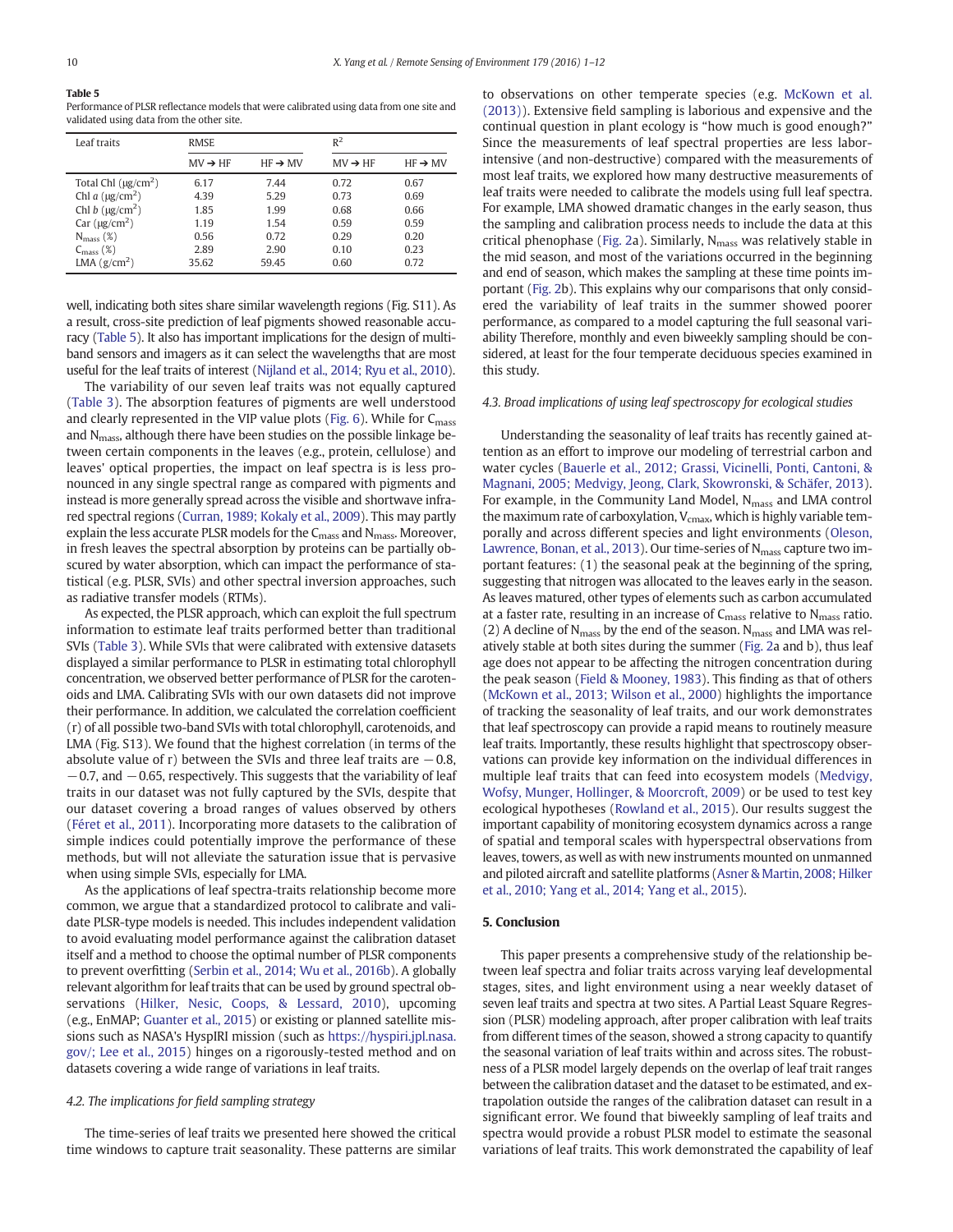# Table 5

Performance of PLSR reflectance models that were calibrated using data from one site and validated using data from the other site.

| Leaf traits              | <b>RMSE</b>         |                     | $R^2$               |                     |  |
|--------------------------|---------------------|---------------------|---------------------|---------------------|--|
|                          | $MV \rightarrow HF$ | $HF \rightarrow MV$ | $MV \rightarrow HF$ | $HF \rightarrow MV$ |  |
| Total Chl $(\mu g/cm^2)$ | 6.17                | 7.44                | 0.72                | 0.67                |  |
| Chl a $(\mu g/cm^2)$     | 4.39                | 5.29                | 0.73                | 0.69                |  |
| Chl b $(\mu g/cm^2)$     | 1.85                | 1.99                | 0.68                | 0.66                |  |
| Car $(\mu g/cm^2)$       | 1.19                | 1.54                | 0.59                | 0.59                |  |
| $N_{mass}$ (%)           | 0.56                | 0.72                | 0.29                | 0.20                |  |
| $C_{\rm mass}$ (%)       | 2.89                | 2.90                | 0.10                | 0.23                |  |
| LMA $(g/cm^2)$           | 35.62               | 59.45               | 0.60                | 0.72                |  |

well, indicating both sites share similar wavelength regions (Fig. S11). As a result, cross-site prediction of leaf pigments showed reasonable accuracy (Table 5). It also has important implications for the design of multiband sensors and imagers as it can select the wavelengths that are most useful for the leaf traits of interest (Nijland et al., 2014; Ryu et al., 2010).

The variability of our seven leaf traits was not equally captured (Table 3). The absorption features of pigments are well understood and clearly represented in the VIP value plots (Fig. 6). While for  $C_{\rm mass}$ and N<sub>mass</sub>, although there have been studies on the possible linkage between certain components in the leaves (e.g., protein, cellulose) and leaves' optical properties, the impact on leaf spectra is is less pronounced in any single spectral range as compared with pigments and instead is more generally spread across the visible and shortwave infrared spectral regions (Curran, 1989; Kokaly et al., 2009). This may partly explain the less accurate PLSR models for the  $C_{\text{mass}}$  and  $N_{\text{mass}}$ . Moreover, in fresh leaves the spectral absorption by proteins can be partially obscured by water absorption, which can impact the performance of statistical (e.g. PLSR, SVIs) and other spectral inversion approaches, such as radiative transfer models (RTMs).

As expected, the PLSR approach, which can exploit the full spectrum information to estimate leaf traits performed better than traditional SVIs (Table 3). While SVIs that were calibrated with extensive datasets displayed a similar performance to PLSR in estimating total chlorophyll concentration, we observed better performance of PLSR for the carotenoids and LMA. Calibrating SVIs with our own datasets did not improve their performance. In addition, we calculated the correlation coefficient (r) of all possible two-band SVIs with total chlorophyll, carotenoids, and LMA (Fig. S13). We found that the highest correlation (in terms of the absolute value of r) between the SVIs and three leaf traits are  $-0.8$ ,  $-0.7$ , and  $-0.65$ , respectively. This suggests that the variability of leaf traits in our dataset was not fully captured by the SVIs, despite that our dataset covering a broad ranges of values observed by others (Féret et al., 2011). Incorporating more datasets to the calibration of simple indices could potentially improve the performance of these methods, but will not alleviate the saturation issue that is pervasive when using simple SVIs, especially for LMA.

As the applications of leaf spectra-traits relationship become more common, we argue that a standardized protocol to calibrate and validate PLSR-type models is needed. This includes independent validation to avoid evaluating model performance against the calibration dataset itself and a method to choose the optimal number of PLSR components to prevent overfitting (Serbin et al., 2014; Wu et al., 2016b). A globally relevant algorithm for leaf traits that can be used by ground spectral observations (Hilker, Nesic, Coops, & Lessard, 2010), upcoming (e.g., EnMAP; Guanter et al., 2015) or existing or planned satellite missions such as NASA's HyspIRI mission (such as https://hyspiri.jpl.nasa. gov/; Lee et al., 2015) hinges on a rigorously-tested method and on datasets covering a wide range of variations in leaf traits.

## 4.2. The implications for field sampling strategy

The time-series of leaf traits we presented here showed the critical time windows to capture trait seasonality. These patterns are similar

to observations on other temperate species (e.g. McKown et al. (2013)). Extensive field sampling is laborious and expensive and the continual question in plant ecology is "how much is good enough?" Since the measurements of leaf spectral properties are less laborintensive (and non-destructive) compared with the measurements of most leaf traits, we explored how many destructive measurements of leaf traits were needed to calibrate the models using full leaf spectra. For example, LMA showed dramatic changes in the early season, thus the sampling and calibration process needs to include the data at this critical phenophase (Fig. 2a). Similarly,  $N_{\rm mass}$  was relatively stable in the mid season, and most of the variations occurred in the beginning and end of season, which makes the sampling at these time points important (Fig. 2b). This explains why our comparisons that only considered the variability of leaf traits in the summer showed poorer performance, as compared to a model capturing the full seasonal variability Therefore, monthly and even biweekly sampling should be considered, at least for the four temperate deciduous species examined in this study.

#### 4.3. Broad implications of using leaf spectroscopy for ecological studies

Understanding the seasonality of leaf traits has recently gained attention as an effort to improve our modeling of terrestrial carbon and water cycles (Bauerle et al., 2012; Grassi, Vicinelli, Ponti, Cantoni, & Magnani, 2005; Medvigy, Jeong, Clark, Skowronski, & Schäfer, 2013). For example, in the Community Land Model,  $N<sub>mass</sub>$  and LMA control the maximum rate of carboxylation,  $V_{\text{cmax}}$ , which is highly variable temporally and across different species and light environments (Oleson, Lawrence, Bonan, et al., 2013). Our time-series of  $N_{\rm mass}$  capture two important features: (1) the seasonal peak at the beginning of the spring, suggesting that nitrogen was allocated to the leaves early in the season. As leaves matured, other types of elements such as carbon accumulated at a faster rate, resulting in an increase of  $C_{\text{mass}}$  relative to  $N_{\text{mass}}$  ratio. (2) A decline of  $N_{\rm mass}$  by the end of the season.  $N_{\rm mass}$  and LMA was relatively stable at both sites during the summer (Fig. 2a and b), thus leaf age does not appear to be affecting the nitrogen concentration during the peak season (Field & Mooney, 1983). This finding as that of others (McKown et al., 2013; Wilson et al., 2000) highlights the importance of tracking the seasonality of leaf traits, and our work demonstrates that leaf spectroscopy can provide a rapid means to routinely measure leaf traits. Importantly, these results highlight that spectroscopy observations can provide key information on the individual differences in multiple leaf traits that can feed into ecosystem models (Medvigy, Wofsy, Munger, Hollinger, & Moorcroft, 2009) or be used to test key ecological hypotheses (Rowland et al., 2015). Our results suggest the important capability of monitoring ecosystem dynamics across a range of spatial and temporal scales with hyperspectral observations from leaves, towers, as well as with new instruments mounted on unmanned and piloted aircraft and satellite platforms (Asner & Martin, 2008; Hilker et al., 2010; Yang et al., 2014; Yang et al., 2015).

#### 5. Conclusion

This paper presents a comprehensive study of the relationship between leaf spectra and foliar traits across varying leaf developmental stages, sites, and light environment using a near weekly dataset of seven leaf traits and spectra at two sites. A Partial Least Square Regression (PLSR) modeling approach, after proper calibration with leaf traits from different times of the season, showed a strong capacity to quantify the seasonal variation of leaf traits within and across sites. The robustness of a PLSR model largely depends on the overlap of leaf trait ranges between the calibration dataset and the dataset to be estimated, and extrapolation outside the ranges of the calibration dataset can result in a significant error. We found that biweekly sampling of leaf traits and spectra would provide a robust PLSR model to estimate the seasonal variations of leaf traits. This work demonstrated the capability of leaf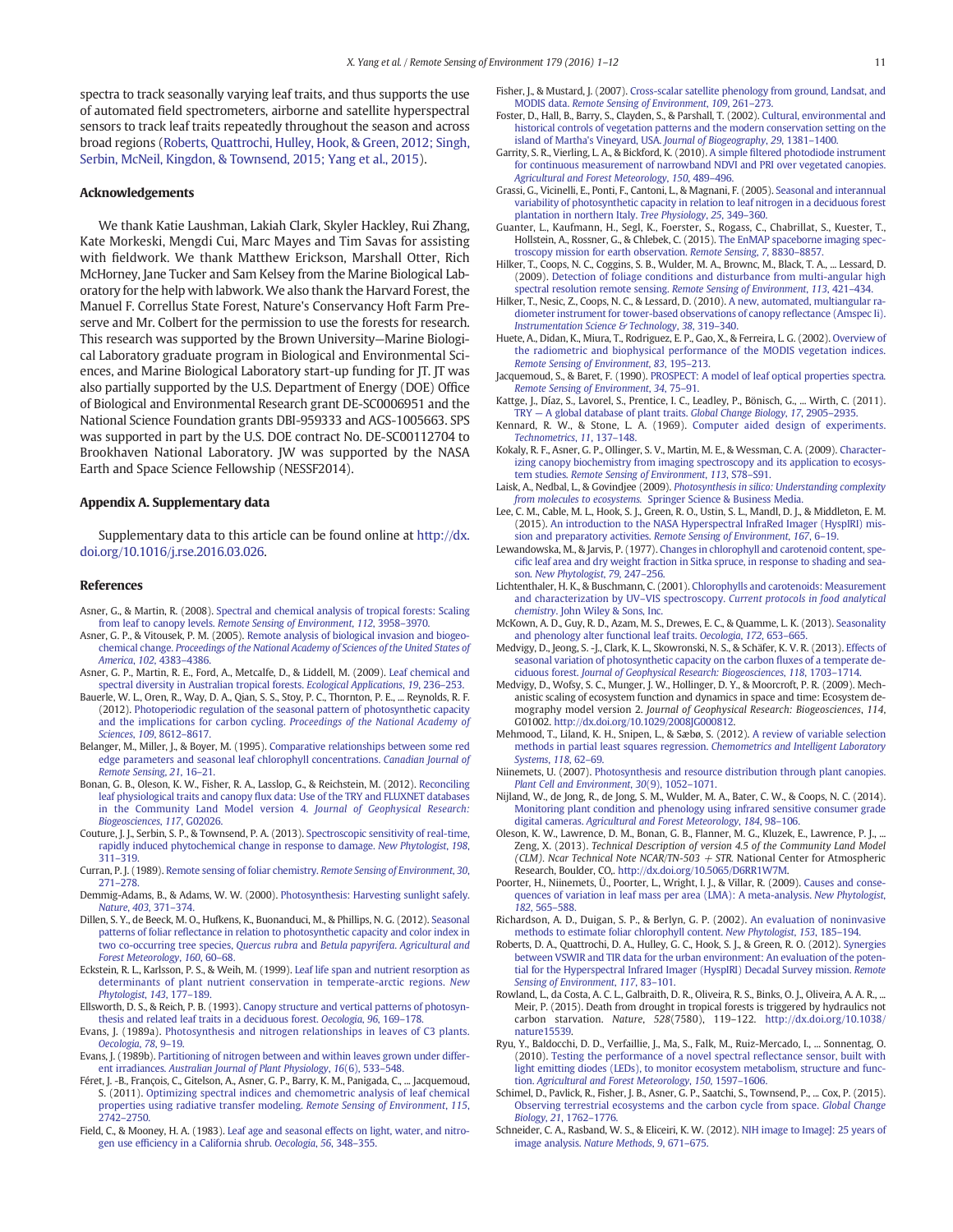spectra to track seasonally varying leaf traits, and thus supports the use of automated field spectrometers, airborne and satellite hyperspectral sensors to track leaf traits repeatedly throughout the season and across broad regions (Roberts, Quattrochi, Hulley, Hook, & Green, 2012; Singh, Serbin, McNeil, Kingdon, & Townsend, 2015; Yang et al., 2015).

#### Acknowledgements

We thank Katie Laushman, Lakiah Clark, Skyler Hackley, Rui Zhang, Kate Morkeski, Mengdi Cui, Marc Mayes and Tim Savas for assisting with fieldwork. We thank Matthew Erickson, Marshall Otter, Rich McHorney, Jane Tucker and Sam Kelsey from the Marine Biological Laboratory for the help with labwork.We also thank the Harvard Forest, the Manuel F. Correllus State Forest, Nature's Conservancy Hoft Farm Preserve and Mr. Colbert for the permission to use the forests for research. This research was supported by the Brown University—Marine Biological Laboratory graduate program in Biological and Environmental Sciences, and Marine Biological Laboratory start-up funding for JT. JT was also partially supported by the U.S. Department of Energy (DOE) Office of Biological and Environmental Research grant DE-SC0006951 and the National Science Foundation grants DBI-959333 and AGS-1005663. SPS was supported in part by the U.S. DOE contract No. DE-SC00112704 to Brookhaven National Laboratory. JW was supported by the NASA Earth and Space Science Fellowship (NESSF2014).

#### Appendix A. Supplementary data

Supplementary data to this article can be found online at http://dx. doi.org/10.1016/j.rse.2016.03.026.

#### References

- Asner, G., & Martin, R. (2008). Spectral and chemical analysis of tropical forests: Scaling from leaf to canopy levels. Remote Sensing of Environment, 112, 3958–3970.
- Asner, G. P., & Vitousek, P. M. (2005). Remote analysis of biological invasion and biogeochemical change. Proceedings of the National Academy of Sciences of the United States of America, 102, 4383–4386.
- Asner, G. P., Martin, R. E., Ford, A., Metcalfe, D., & Liddell, M. (2009). Leaf chemical and spectral diversity in Australian tropical forests. Ecological Applications, 19, 236–253.
- Bauerle, W. L., Oren, R., Way, D. A., Qian, S. S., Stoy, P. C., Thornton, P. E., ... Reynolds, R. F. (2012). Photoperiodic regulation of the seasonal pattern of photosynthetic capacity and the implications for carbon cycling. Proceedings of the National Academy of Sciences, 109, 8612–8617.
- Belanger, M., Miller, J., & Boyer, M. (1995). Comparative relationships between some red edge parameters and seasonal leaf chlorophyll concentrations. Canadian Journal of Remote Sensing, 21, 16–21.
- Bonan, G. B., Oleson, K. W., Fisher, R. A., Lasslop, G., & Reichstein, M. (2012). Reconciling leaf physiological traits and canopy flux data: Use of the TRY and FLUXNET databases in the Community Land Model version 4. Journal of Geophysical Research: Biogeosciences, 117, G02026.
- Couture, J. J., Serbin, S. P., & Townsend, P. A. (2013). Spectroscopic sensitivity of real-time, rapidly induced phytochemical change in response to damage. New Phytologist, 198, 311–319.
- Curran, P. J. (1989). Remote sensing of foliar chemistry. Remote Sensing of Environment, 30, 271–278.
- Demmig-Adams, B., & Adams, W. W. (2000). Photosynthesis: Harvesting sunlight safely. Nature, 403, 371–374.
- Dillen, S. Y., de Beeck, M. O., Hufkens, K., Buonanduci, M., & Phillips, N. G. (2012). Seasonal patterns of foliar reflectance in relation to photosynthetic capacity and color index in two co-occurring tree species, Quercus rubra and Betula papyrifera. Agricultural and Forest Meteorology, 160, 60–68.
- Eckstein, R. L., Karlsson, P. S., & Weih, M. (1999). Leaf life span and nutrient resorption as determinants of plant nutrient conservation in temperate-arctic regions. New Phytologist, 143, 177–189.
- Ellsworth, D. S., & Reich, P. B. (1993). Canopy structure and vertical patterns of photosynthesis and related leaf traits in a deciduous forest. Oecologia, 96, 169–178.
- Evans, J. (1989a). Photosynthesis and nitrogen relationships in leaves of C3 plants. Oecologia, 78, 9–19.
- Evans, J. (1989b). Partitioning of nitrogen between and within leaves grown under different irradiances. Australian Journal of Plant Physiology, 16(6), 533-548.
- Féret, J. -B., François, C., Gitelson, A., Asner, G. P., Barry, K. M., Panigada, C., ... Jacquemoud, S. (2011). Optimizing spectral indices and chemometric analysis of leaf chemical properties using radiative transfer modeling. Remote Sensing of Environment, 115, 2742–2750.
- Field, C., & Mooney, H. A. (1983). Leaf age and seasonal effects on light, water, and nitrogen use efficiency in a California shrub. Oecologia, 56, 348–355.
- Fisher, J., & Mustard, J. (2007). Cross-scalar satellite phenology from ground, Landsat, and MODIS data. Remote Sensing of Environment, 109, 261-273.
- Foster, D., Hall, B., Barry, S., Clayden, S., & Parshall, T. (2002). Cultural, environmental and historical controls of vegetation patterns and the modern conservation setting on the island of Martha's Vineyard, USA. Journal of Biogeography, 29, 1381–1400.
- Garrity, S. R., Vierling, L. A., & Bickford, K. (2010). A simple filtered photodiode instrument for continuous measurement of narrowband NDVI and PRI over vegetated canopies. Agricultural and Forest Meteorology, 150, 489–496.
- Grassi, G., Vicinelli, E., Ponti, F., Cantoni, L., & Magnani, F. (2005). Seasonal and interannual variability of photosynthetic capacity in relation to leaf nitrogen in a deciduous forest plantation in northern Italy. Tree Physiology, 25, 349–360.
- Guanter, L., Kaufmann, H., Segl, K., Foerster, S., Rogass, C., Chabrillat, S., Kuester, T., Hollstein, A., Rossner, G., & Chlebek, C. (2015). The EnMAP spaceborne imaging spectroscopy mission for earth observation. Remote Sensing, 7, 8830–8857.
- Hilker, T., Coops, N. C., Coggins, S. B., Wulder, M. A., Brownc, M., Black, T. A., ... Lessard, D. (2009). Detection of foliage conditions and disturbance from multi-angular high spectral resolution remote sensing. Remote Sensing of Environment, 113, 421–434.
- Hilker, T., Nesic, Z., Coops, N. C., & Lessard, D. (2010). A new, automated, multiangular radiometer instrument for tower-based observations of canopy reflectance (Amspec Ii). Instrumentation Science & Technology, 38, 319–340.
- Huete, A., Didan, K., Miura, T., Rodriguez, E. P., Gao, X., & Ferreira, L. G. (2002). Overview of the radiometric and biophysical performance of the MODIS vegetation indices. Remote Sensing of Environment, 83, 195–213.
- Jacquemoud, S., & Baret, F. (1990). PROSPECT: A model of leaf optical properties spectra. Remote Sensing of Environment, 34, 75–91.
- Kattge, J., Díaz, S., Lavorel, S., Prentice, I. C., Leadley, P., Bönisch, G., ... Wirth, C. (2011). TRY — A global database of plant traits. Global Change Biology, 17, 2905–2935.
- Kennard, R. W., & Stone, L. A. (1969). Computer aided design of experiments. Technometrics, 11, 137–148.
- Kokaly, R. F., Asner, G. P., Ollinger, S. V., Martin, M. E., & Wessman, C. A. (2009). Characterizing canopy biochemistry from imaging spectroscopy and its application to ecosystem studies. Remote Sensing of Environment, 113, S78–S91.
- Laisk, A., Nedbal, L., & Govindjee (2009). Photosynthesis in silico: Understanding complexity from molecules to ecosystems. Springer Science & Business Media.
- Lee, C. M., Cable, M. L., Hook, S. J., Green, R. O., Ustin, S. L., Mandl, D. J., & Middleton, E. M. (2015). An introduction to the NASA Hyperspectral InfraRed Imager (HyspIRI) mission and preparatory activities. Remote Sensing of Environment, 167, 6–19.
- Lewandowska, M., & Jarvis, P. (1977). Changes in chlorophyll and carotenoid content, specific leaf area and dry weight fraction in Sitka spruce, in response to shading and season. New Phytologist, 79, 247–256.
- Lichtenthaler, H. K., & Buschmann, C. (2001). Chlorophylls and carotenoids: Measurement and characterization by UV–VIS spectroscopy. Current protocols in food analytical chemistry. John Wiley & Sons, Inc.
- McKown, A. D., Guy, R. D., Azam, M. S., Drewes, E. C., & Quamme, L. K. (2013). Seasonality and phenology alter functional leaf traits. Oecologia, 172, 653–665.
- Medvigy, D., Jeong, S. -J., Clark, K. L., Skowronski, N. S., & Schäfer, K. V. R. (2013). Effects of seasonal variation of photosynthetic capacity on the carbon fluxes of a temperate deciduous forest. Journal of Geophysical Research: Biogeosciences, 118, 1703–1714.
- Medvigy, D., Wofsy, S. C., Munger, J. W., Hollinger, D. Y., & Moorcroft, P. R. (2009). Mechanistic scaling of ecosystem function and dynamics in space and time: Ecosystem demography model version 2. Journal of Geophysical Research: Biogeosciences, 114, G01002. http://dx.doi.org/10.1029/2008JG000812.
- Mehmood, T., Liland, K. H., Snipen, L., & Sæbø, S. (2012). A review of variable selection methods in partial least squares regression. Chemometrics and Intelligent Laboratory Systems, 118, 62–69.
- Niinemets, U. (2007). Photosynthesis and resource distribution through plant canopies. Plant Cell and Environment, 30(9), 1052–1071.
- Nijland, W., de Jong, R., de Jong, S. M., Wulder, M. A., Bater, C. W., & Coops, N. C. (2014). Monitoring plant condition and phenology using infrared sensitive consumer grade digital cameras. Agricultural and Forest Meteorology, 184, 98–106.
- Oleson, K. W., Lawrence, D. M., Bonan, G. B., Flanner, M. G., Kluzek, E., Lawrence, P. J., Zeng, X. (2013). Technical Description of version 4.5 of the Community Land Model (CLM). Ncar Technical Note NCAR/TN-503  $+$  STR. National Center for Atmospheric Research, Boulder, CO,. http://dx.doi.org/10.5065/D6RR1W7M.
- Poorter, H., Niinemets, Ü., Poorter, L., Wright, I. J., & Villar, R. (2009). Causes and consequences of variation in leaf mass per area (LMA): A meta-analysis. New Phytologist, 182, 565–588.
- Richardson, A. D., Duigan, S. P., & Berlyn, G. P. (2002). An evaluation of noninvasive methods to estimate foliar chlorophyll content. New Phytologist, 153, 185–194.
- Roberts, D. A., Quattrochi, D. A., Hulley, G. C., Hook, S. J., & Green, R. O. (2012). Synergies between VSWIR and TIR data for the urban environment: An evaluation of the potential for the Hyperspectral Infrared Imager (HyspIRI) Decadal Survey mission. Remote Sensing of Environment, 117, 83–101.
- Rowland, L., da Costa, A. C. L., Galbraith, D. R., Oliveira, R. S., Binks, O. J., Oliveira, A. A. R., ... Meir, P. (2015). Death from drought in tropical forests is triggered by hydraulics not carbon starvation. Nature, 528(7580), 119–122. http://dx.doi.org/10.1038/ nature15539.
- Ryu, Y., Baldocchi, D. D., Verfaillie, J., Ma, S., Falk, M., Ruiz-Mercado, I., ... Sonnentag, O. (2010). Testing the performance of a novel spectral reflectance sensor, built with light emitting diodes (LEDs), to monitor ecosystem metabolism, structure and function. Agricultural and Forest Meteorology, 150, 1597–1606.
- Schimel, D., Pavlick, R., Fisher, J. B., Asner, G. P., Saatchi, S., Townsend, P., ... Cox, P. (2015). Observing terrestrial ecosystems and the carbon cycle from space. Global Change Biology, 21, 1762–1776.
- Schneider, C. A., Rasband, W. S., & Eliceiri, K. W. (2012). NIH image to ImageJ: 25 years of image analysis. Nature Methods, 9, 671–675.